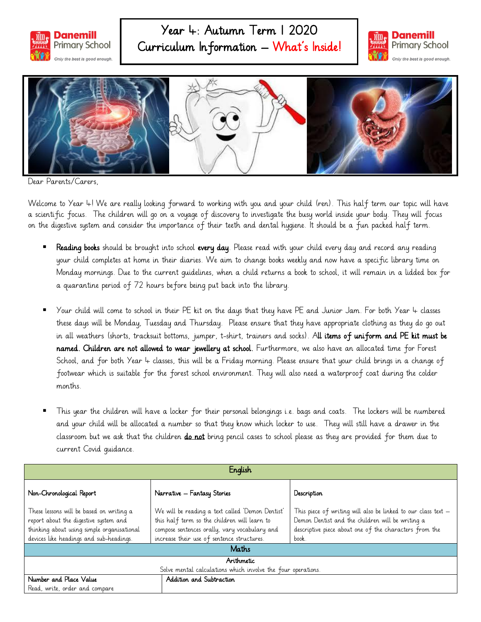

## Year 4: Autumn Term 1 2020 Curriculum Information – What's Inside!





Dear Parents/Carers,

Welcome to Year 4! We are really looking forward to working with you and your child (ren). This half term our topic will have a scientific focus. The children will go on a voyage of discovery to investigate the busy world inside your body. They will focus on the digestive system and consider the importance of their teeth and dental hygiene. It should be a fun packed half term.

- Reading books should be brought into school every day. Please read with your child every day and record any reading your child completes at home in their diaries. We aim to change books weekly and now have a specific library time on Monday mornings. Due to the current guidelines, when a child returns a book to school, it will remain in a lidded box for a quarantine period of 72 hours before being put back into the library.
- Your child will come to school in their PE kit on the days that they have PE and Junior Jam. For both Year 4 classes these days will be Monday, Tuesday and Thursday. Please ensure that they have appropriate clothing as they do go out in all weathers (shorts, tracksuit bottoms, jumper, t-shirt, trainers and socks). All items of uniform and PE kit must be named. Children are not allowed to wear jewellery at school. Furthermore, we also have an allocated time for Forest School, and for both Year 4 classes, this will be a Friday morning. Please ensure that your child brings in a change of footwear which is suitable for the forest school environment. They will also need a waterproof coat during the colder months.
- This year the children will have a locker for their personal belongings i.e. bags and coats. The lockers will be numbered and your child will be allocated a number so that they know which locker to use. They will still have a drawer in the classroom but we ask that the children do not bring pencil cases to school please as they are provided for them due to current Covid guidance.

| English                                                                                                                                                                    |                                                                                                                                                                                                 |                                                                                                                                                                                        |  |
|----------------------------------------------------------------------------------------------------------------------------------------------------------------------------|-------------------------------------------------------------------------------------------------------------------------------------------------------------------------------------------------|----------------------------------------------------------------------------------------------------------------------------------------------------------------------------------------|--|
| Non-Chronological Report                                                                                                                                                   | Narrative – Fantasy Stories                                                                                                                                                                     | Description                                                                                                                                                                            |  |
| These lessons will be based on writing a<br>report about the digestive system and<br>thinking about using simple organisational<br>devices like headings and sub-headings. | We will be reading a text called 'Demon Dentist'<br>this half term so the children will learn to<br>compose sentences orally, vary vocabulary and<br>increase their use of sentence structures. | This piece of writing will also be linked to our class text $-$<br>Demon Dentist and the children will be writing a<br>descriptive piece about one of the characters from the<br>book. |  |
| Maths                                                                                                                                                                      |                                                                                                                                                                                                 |                                                                                                                                                                                        |  |
| Arithmetic                                                                                                                                                                 |                                                                                                                                                                                                 |                                                                                                                                                                                        |  |
| Solve mental calculations which involve the four operations.                                                                                                               |                                                                                                                                                                                                 |                                                                                                                                                                                        |  |
| Number and Place Value                                                                                                                                                     | Addition and Subtraction                                                                                                                                                                        |                                                                                                                                                                                        |  |
| Read, write, order and compare                                                                                                                                             |                                                                                                                                                                                                 |                                                                                                                                                                                        |  |